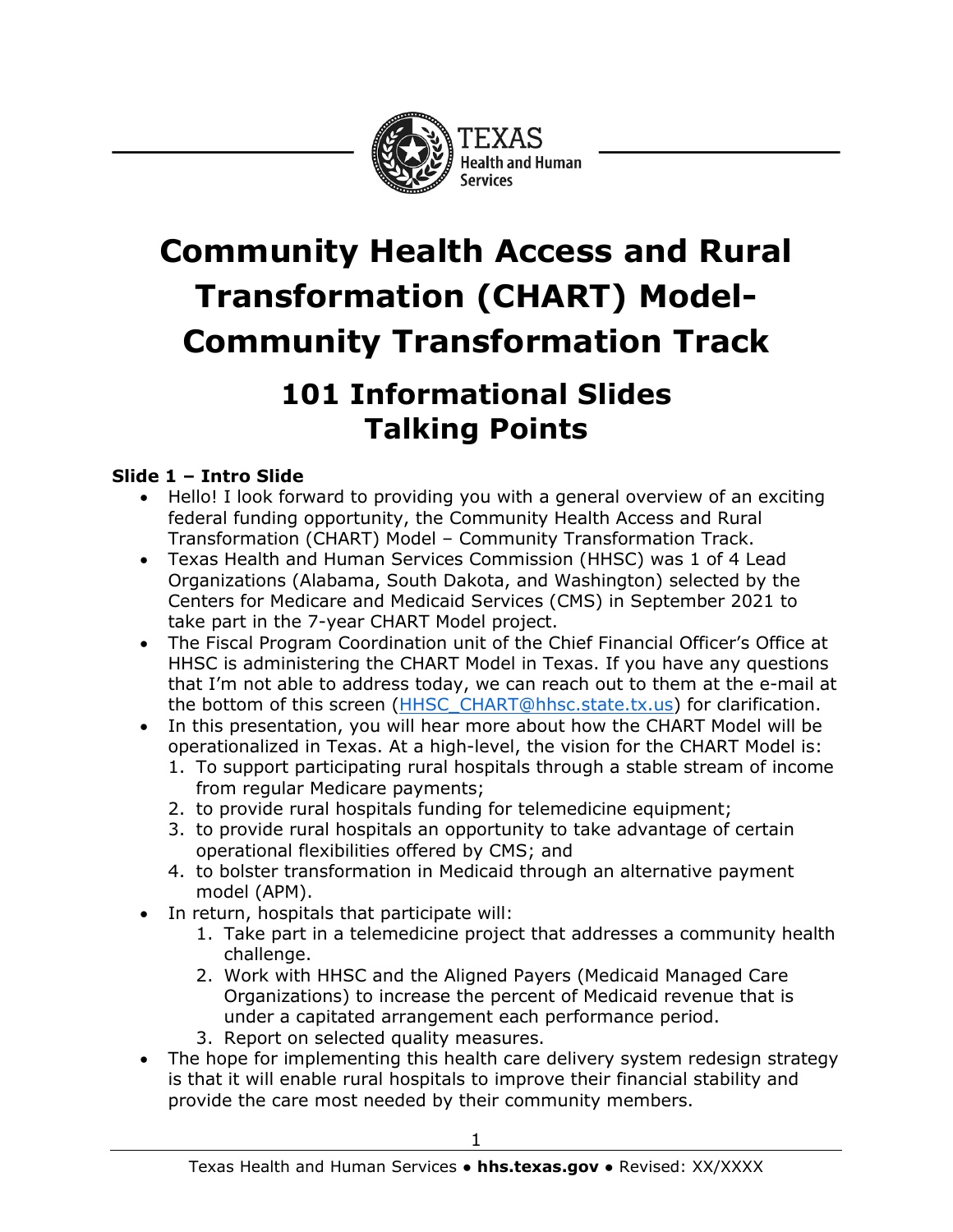

# **Community Health Access and Rural Transformation (CHART) Model-Community Transformation Track**

# **101 Informational Slides Talking Points**

## **Slide 1 – Intro Slide**

- Hello! I look forward to providing you with a general overview of an exciting federal funding opportunity, the Community Health Access and Rural Transformation (CHART) Model – Community Transformation Track.
- Texas Health and Human Services Commission (HHSC) was 1 of 4 Lead Organizations (Alabama, South Dakota, and Washington) selected by the Centers for Medicare and Medicaid Services (CMS) in September 2021 to take part in the 7-year CHART Model project.
- The Fiscal Program Coordination unit of the Chief Financial Officer's Office at HHSC is administering the CHART Model in Texas. If you have any questions that I'm not able to address today, we can reach out to them at the e-mail at the bottom of this screen [\(HHSC\\_CHART@hhsc.state.tx.us\)](mailto:HHSC_CHART@hhsc.state.tx.us) for clarification.
- In this presentation, you will hear more about how the CHART Model will be operationalized in Texas. At a high-level, the vision for the CHART Model is:
	- 1. To support participating rural hospitals through a stable stream of income from regular Medicare payments;
	- 2. to provide rural hospitals funding for telemedicine equipment;
	- 3. to provide rural hospitals an opportunity to take advantage of certain operational flexibilities offered by CMS; and
	- 4. to bolster transformation in Medicaid through an alternative payment model (APM).
- In return, hospitals that participate will:
	- 1. Take part in a telemedicine project that addresses a community health challenge.
	- 2. Work with HHSC and the Aligned Payers (Medicaid Managed Care Organizations) to increase the percent of Medicaid revenue that is under a capitated arrangement each performance period.
	- 3. Report on selected quality measures.
- The hope for implementing this health care delivery system redesign strategy is that it will enable rural hospitals to improve their financial stability and provide the care most needed by their community members.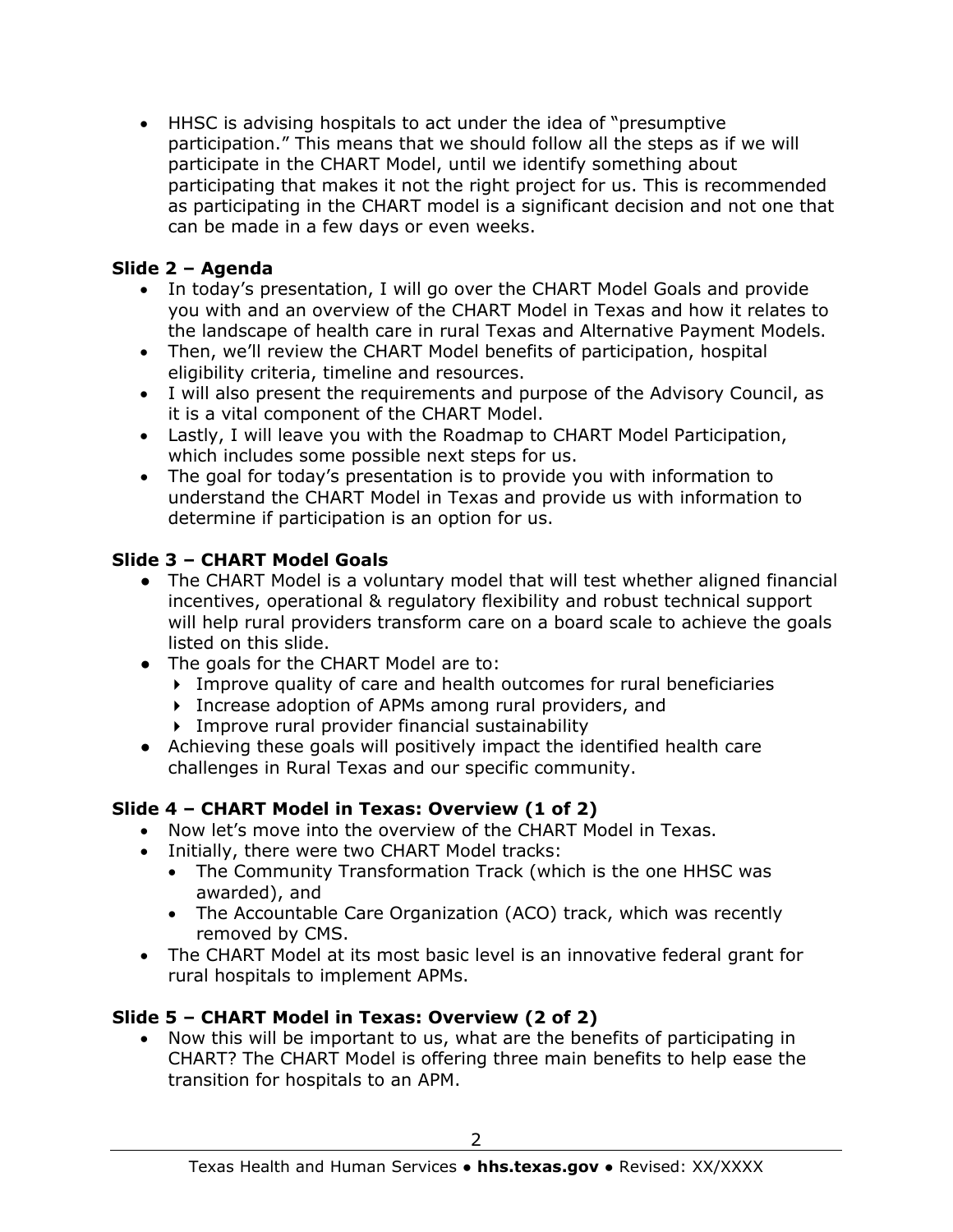• HHSC is advising hospitals to act under the idea of "presumptive participation." This means that we should follow all the steps as if we will participate in the CHART Model, until we identify something about participating that makes it not the right project for us. This is recommended as participating in the CHART model is a significant decision and not one that can be made in a few days or even weeks.

#### **Slide 2 – Agenda**

- In today's presentation, I will go over the CHART Model Goals and provide you with and an overview of the CHART Model in Texas and how it relates to the landscape of health care in rural Texas and Alternative Payment Models.
- Then, we'll review the CHART Model benefits of participation, hospital eligibility criteria, timeline and resources.
- I will also present the requirements and purpose of the Advisory Council, as it is a vital component of the CHART Model.
- Lastly, I will leave you with the Roadmap to CHART Model Participation, which includes some possible next steps for us.
- The goal for today's presentation is to provide you with information to understand the CHART Model in Texas and provide us with information to determine if participation is an option for us.

#### **Slide 3 – CHART Model Goals**

- The CHART Model is a voluntary model that will test whether aligned financial incentives, operational & regulatory flexibility and robust technical support will help rural providers transform care on a board scale to achieve the goals listed on this slide.
- The goals for the CHART Model are to:
	- Improve quality of care and health outcomes for rural beneficiaries
	- Increase adoption of APMs among rural providers, and
	- Improve rural provider financial sustainability
- Achieving these goals will positively impact the identified health care challenges in Rural Texas and our specific community.

#### **Slide 4 – CHART Model in Texas: Overview (1 of 2)**

- Now let's move into the overview of the CHART Model in Texas.
- Initially, there were two CHART Model tracks:
	- The Community Transformation Track (which is the one HHSC was awarded), and
	- The Accountable Care Organization (ACO) track, which was recently removed by CMS.
- The CHART Model at its most basic level is an innovative federal grant for rural hospitals to implement APMs.

#### **Slide 5 – CHART Model in Texas: Overview (2 of 2)**

• Now this will be important to us, what are the benefits of participating in CHART? The CHART Model is offering three main benefits to help ease the transition for hospitals to an APM.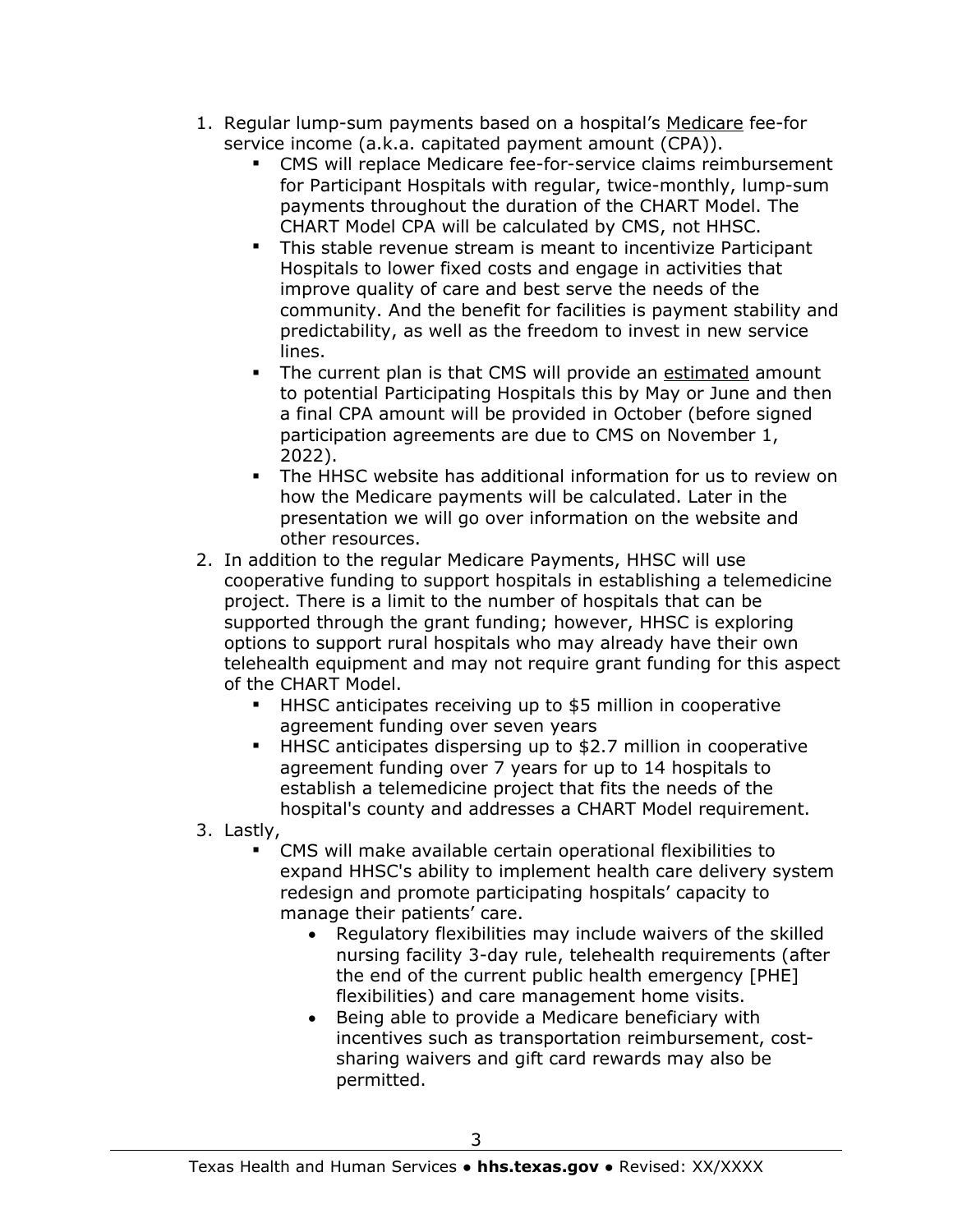- 1. Regular lump-sum payments based on a hospital's Medicare fee-for service income (a.k.a. capitated payment amount (CPA)).
	- CMS will replace Medicare fee-for-service claims reimbursement for Participant Hospitals with regular, twice-monthly, lump-sum payments throughout the duration of the CHART Model. The CHART Model CPA will be calculated by CMS, not HHSC.
	- This stable revenue stream is meant to incentivize Participant Hospitals to lower fixed costs and engage in activities that improve quality of care and best serve the needs of the community. And the benefit for facilities is payment stability and predictability, as well as the freedom to invest in new service lines.
	- The current plan is that CMS will provide an estimated amount to potential Participating Hospitals this by May or June and then a final CPA amount will be provided in October (before signed participation agreements are due to CMS on November 1, 2022).
	- The HHSC website has additional information for us to review on how the Medicare payments will be calculated. Later in the presentation we will go over information on the website and other resources.
- 2. In addition to the regular Medicare Payments, HHSC will use cooperative funding to support hospitals in establishing a telemedicine project. There is a limit to the number of hospitals that can be supported through the grant funding; however, HHSC is exploring options to support rural hospitals who may already have their own telehealth equipment and may not require grant funding for this aspect of the CHART Model.
	- HHSC anticipates receiving up to \$5 million in cooperative agreement funding over seven years
	- **HHSC anticipates dispersing up to \$2.7 million in cooperative** agreement funding over 7 years for up to 14 hospitals to establish a telemedicine project that fits the needs of the hospital's county and addresses a CHART Model requirement.

3. Lastly,

- CMS will make available certain operational flexibilities to expand HHSC's ability to implement health care delivery system redesign and promote participating hospitals' capacity to manage their patients' care.
	- Regulatory flexibilities may include waivers of the skilled nursing facility 3-day rule, telehealth requirements (after the end of the current public health emergency [PHE] flexibilities) and care management home visits.
	- Being able to provide a Medicare beneficiary with incentives such as transportation reimbursement, costsharing waivers and gift card rewards may also be permitted.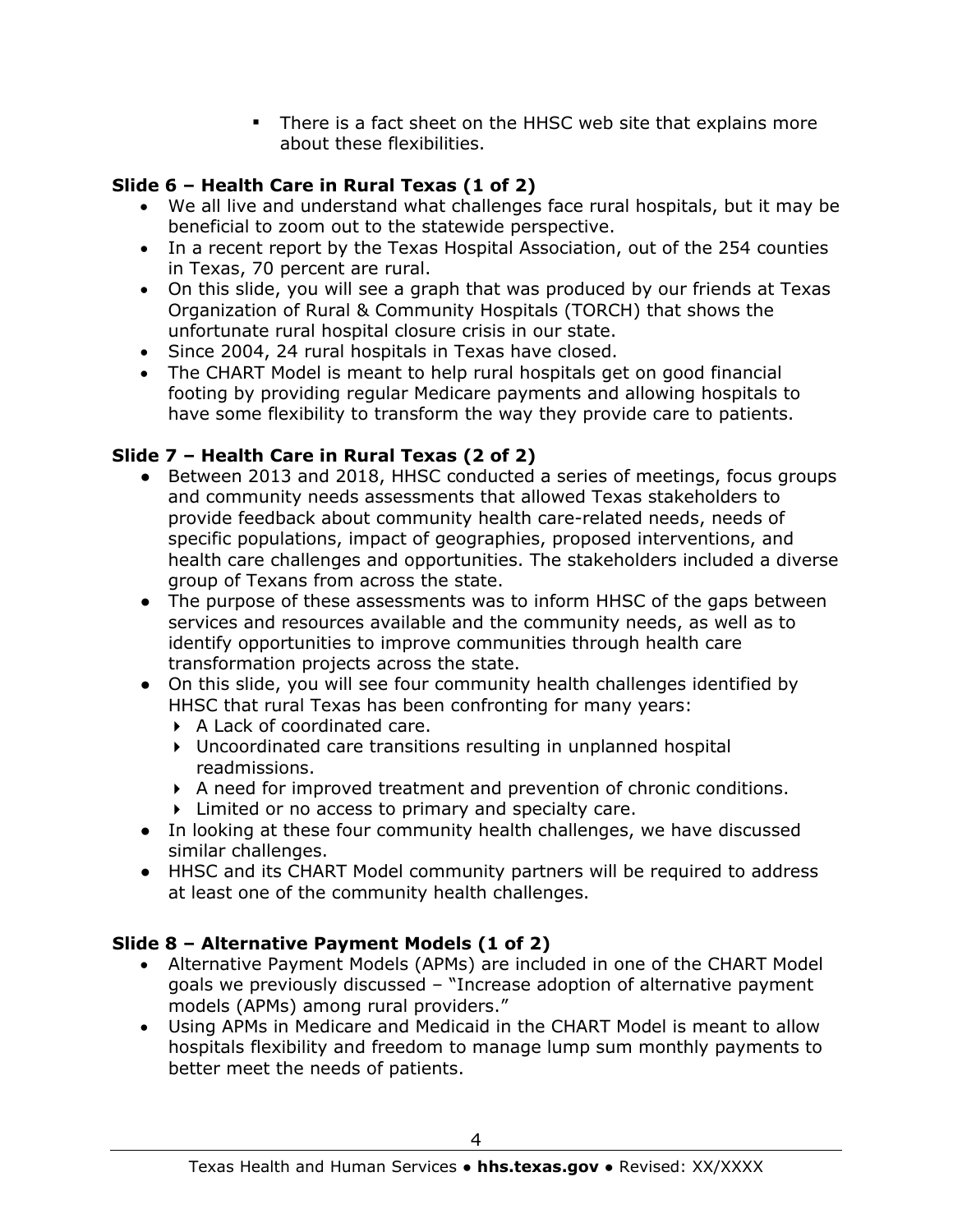There is a fact sheet on the HHSC web site that explains more about these flexibilities.

#### **Slide 6 – Health Care in Rural Texas (1 of 2)**

- We all live and understand what challenges face rural hospitals, but it may be beneficial to zoom out to the statewide perspective.
- In a recent report by the Texas Hospital Association, out of the 254 counties in Texas, 70 percent are rural.
- On this slide, you will see a graph that was produced by our friends at Texas Organization of Rural & Community Hospitals (TORCH) that shows the unfortunate rural hospital closure crisis in our state.
- Since 2004, 24 rural hospitals in Texas have closed.
- The CHART Model is meant to help rural hospitals get on good financial footing by providing regular Medicare payments and allowing hospitals to have some flexibility to transform the way they provide care to patients.

# **Slide 7 – Health Care in Rural Texas (2 of 2)**

- Between 2013 and 2018, HHSC conducted a series of meetings, focus groups and community needs assessments that allowed Texas stakeholders to provide feedback about community health care-related needs, needs of specific populations, impact of geographies, proposed interventions, and health care challenges and opportunities. The stakeholders included a diverse group of Texans from across the state.
- The purpose of these assessments was to inform HHSC of the gaps between services and resources available and the community needs, as well as to identify opportunities to improve communities through health care transformation projects across the state.
- On this slide, you will see four community health challenges identified by HHSC that rural Texas has been confronting for many years:
	- A Lack of coordinated care.
	- Uncoordinated care transitions resulting in unplanned hospital readmissions.
	- A need for improved treatment and prevention of chronic conditions.
	- Limited or no access to primary and specialty care.
- In looking at these four community health challenges, we have discussed similar challenges.
- HHSC and its CHART Model community partners will be required to address at least one of the community health challenges.

# **Slide 8 – Alternative Payment Models (1 of 2)**

- Alternative Payment Models (APMs) are included in one of the CHART Model goals we previously discussed – "Increase adoption of alternative payment models (APMs) among rural providers."
- Using APMs in Medicare and Medicaid in the CHART Model is meant to allow hospitals flexibility and freedom to manage lump sum monthly payments to better meet the needs of patients.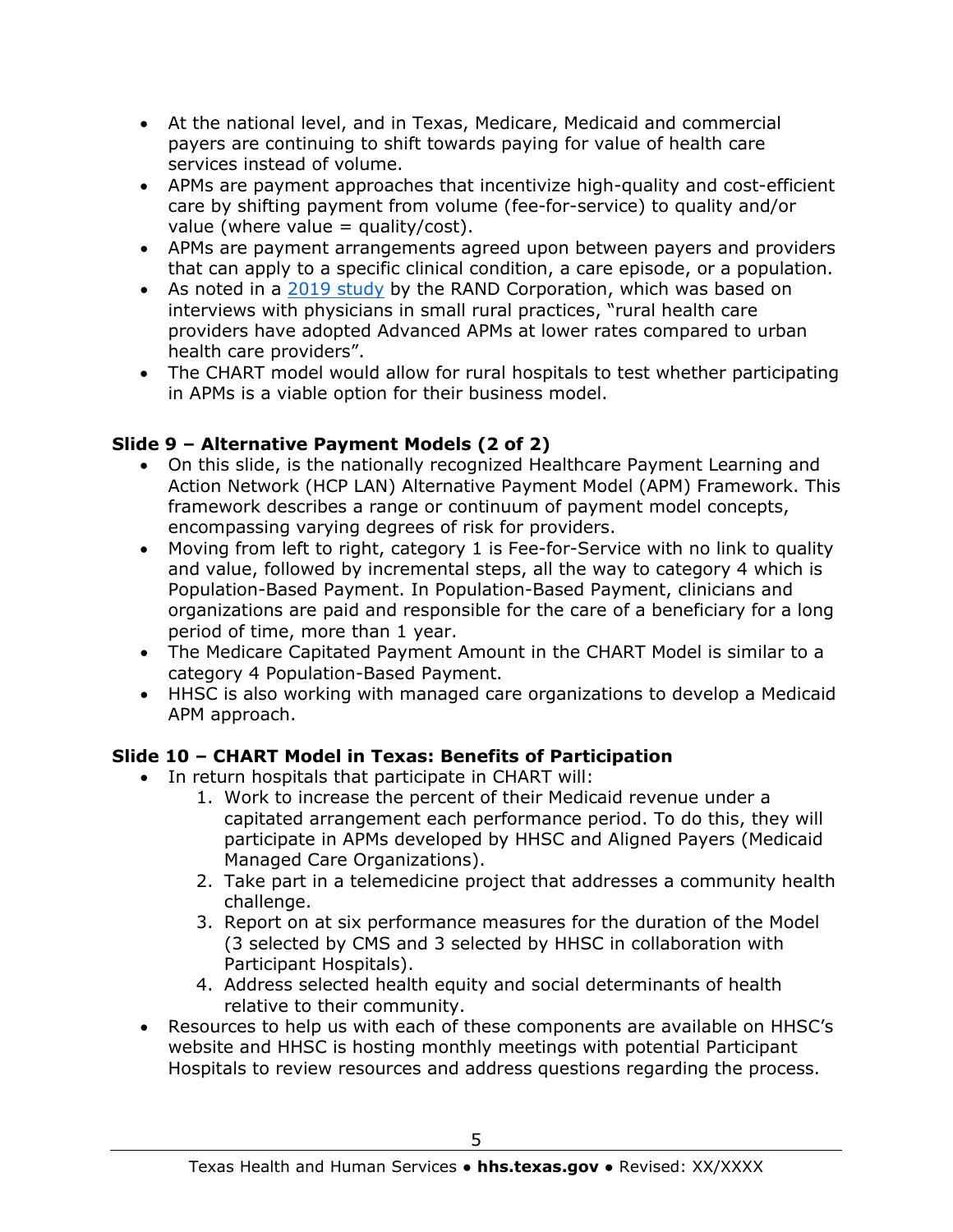- At the national level, and in Texas, Medicare, Medicaid and commercial payers are continuing to shift towards paying for value of health care services instead of volume.
- APMs are payment approaches that incentivize high-quality and cost-efficient care by shifting payment from volume (fee-for-service) to quality and/or value (where value = quality/cost).
- APMs are payment arrangements agreed upon between payers and providers that can apply to a specific clinical condition, a care episode, or a population.
- As noted in a [2019 study](https://www.rand.org/pubs/research_reports/RR2882.html) by the RAND Corporation, which was based on interviews with physicians in small rural practices, "rural health care providers have adopted Advanced APMs at lower rates compared to urban health care providers".
- The CHART model would allow for rural hospitals to test whether participating in APMs is a viable option for their business model.

#### **Slide 9 – Alternative Payment Models (2 of 2)**

- On this slide, is the nationally recognized Healthcare Payment Learning and Action Network (HCP LAN) Alternative Payment Model (APM) Framework. This framework describes a range or continuum of payment model concepts, encompassing varying degrees of risk for providers.
- Moving from left to right, category 1 is Fee-for-Service with no link to quality and value, followed by incremental steps, all the way to category 4 which is Population-Based Payment. In Population-Based Payment, clinicians and organizations are paid and responsible for the care of a beneficiary for a long period of time, more than 1 year.
- The Medicare Capitated Payment Amount in the CHART Model is similar to a category 4 Population-Based Payment.
- HHSC is also working with managed care organizations to develop a Medicaid APM approach.

#### **Slide 10 – CHART Model in Texas: Benefits of Participation**

- In return hospitals that participate in CHART will:
	- 1. Work to increase the percent of their Medicaid revenue under a capitated arrangement each performance period. To do this, they will participate in APMs developed by HHSC and Aligned Payers (Medicaid Managed Care Organizations).
	- 2. Take part in a telemedicine project that addresses a community health challenge.
	- 3. Report on at six performance measures for the duration of the Model (3 selected by CMS and 3 selected by HHSC in collaboration with Participant Hospitals).
	- 4. Address selected health equity and social determinants of health relative to their community.
- Resources to help us with each of these components are available on HHSC's website and HHSC is hosting monthly meetings with potential Participant Hospitals to review resources and address questions regarding the process.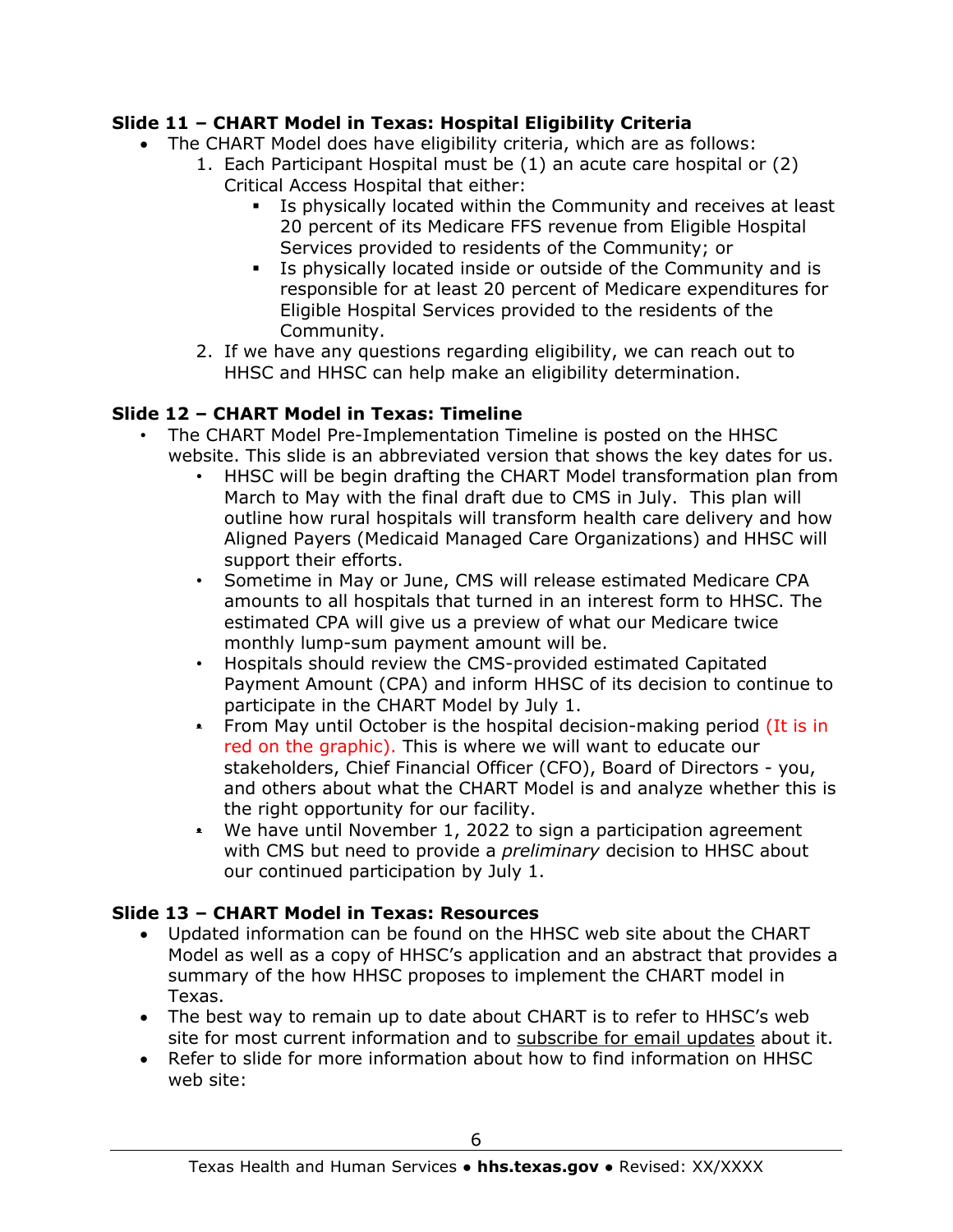#### **Slide 11 – CHART Model in Texas: Hospital Eligibility Criteria**

- The CHART Model does have eligibility criteria, which are as follows:
	- 1. Each Participant Hospital must be (1) an acute care hospital or (2) Critical Access Hospital that either:
		- Is physically located within the Community and receives at least 20 percent of its Medicare FFS revenue from Eligible Hospital Services provided to residents of the Community; or
		- Is physically located inside or outside of the Community and is responsible for at least 20 percent of Medicare expenditures for Eligible Hospital Services provided to the residents of the Community.
		- 2. If we have any questions regarding eligibility, we can reach out to HHSC and HHSC can help make an eligibility determination.

#### **Slide 12 – CHART Model in Texas: Timeline**

- The CHART Model Pre-Implementation Timeline is posted on the HHSC website. This slide is an abbreviated version that shows the key dates for us.
	- HHSC will be begin drafting the CHART Model transformation plan from March to May with the final draft due to CMS in July. This plan will outline how rural hospitals will transform health care delivery and how Aligned Payers (Medicaid Managed Care Organizations) and HHSC will support their efforts.
	- Sometime in May or June, CMS will release estimated Medicare CPA amounts to all hospitals that turned in an interest form to HHSC. The estimated CPA will give us a preview of what our Medicare twice monthly lump-sum payment amount will be.
	- Hospitals should review the CMS-provided estimated Capitated Payment Amount (CPA) and inform HHSC of its decision to continue to participate in the CHART Model by July 1.
	- From May until October is the hospital decision-making period (It is in red on the graphic). This is where we will want to educate our stakeholders, Chief Financial Officer (CFO), Board of Directors - you, and others about what the CHART Model is and analyze whether this is the right opportunity for our facility.
	- We have until November 1, 2022 to sign a participation agreement with CMS but need to provide a *preliminary* decision to HHSC about our continued participation by July 1.

#### **Slide 13 – CHART Model in Texas: Resources**

- Updated information can be found on the HHSC web site about the CHART Model as well as a copy of HHSC's application and an abstract that provides a summary of the how HHSC proposes to implement the CHART model in Texas.
- The best way to remain up to date about CHART is to refer to HHSC's web site for most current information and to subscribe for email updates about it.
- Refer to slide for more information about how to find information on HHSC web site: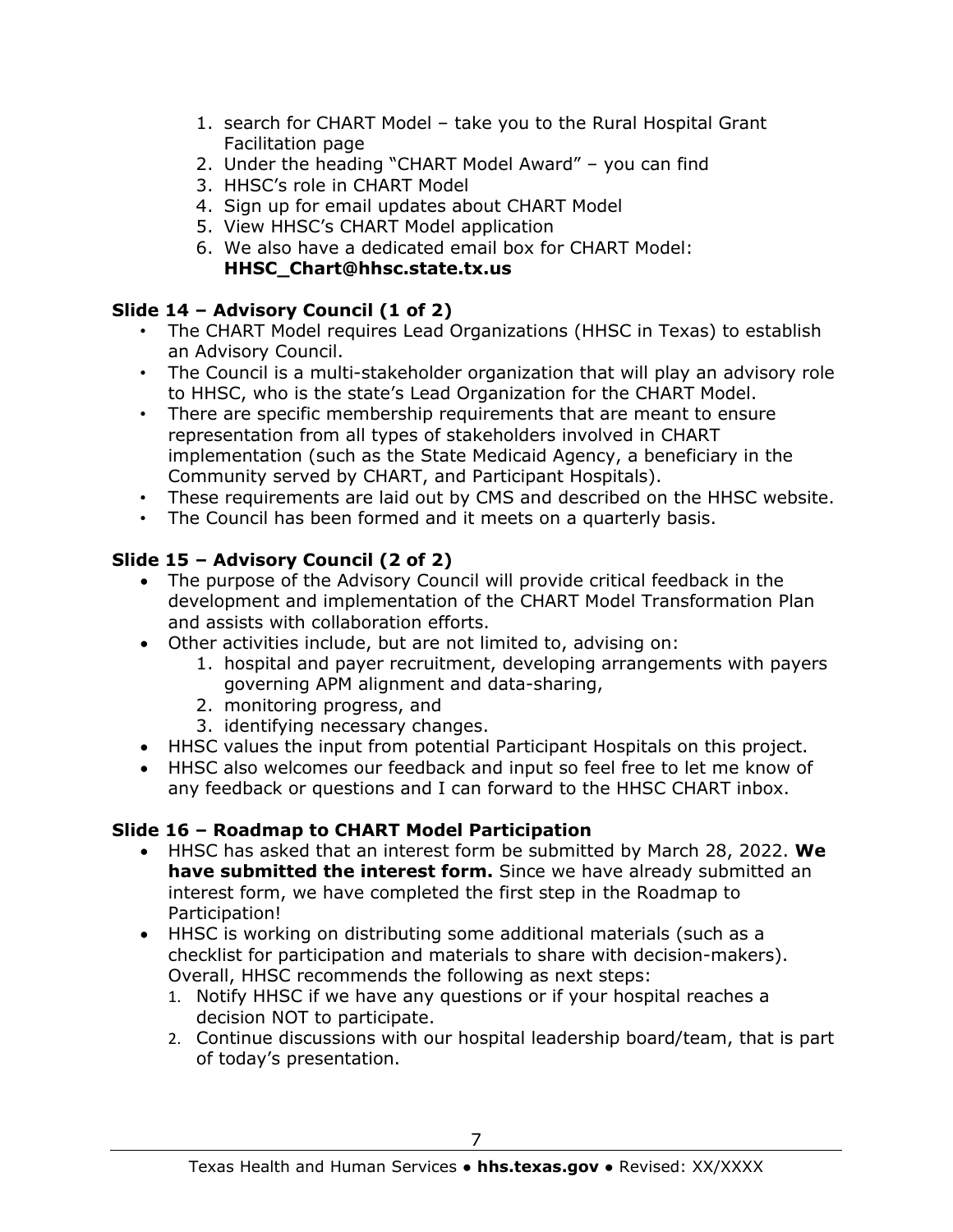- 1. search for CHART Model take you to the Rural Hospital Grant Facilitation page
- 2. Under the heading "CHART Model Award" you can find
- 3. HHSC's role in CHART Model
- 4. Sign up for email updates about CHART Model
- 5. View HHSC's CHART Model application
- 6. We also have a dedicated email box for CHART Model: **HHSC\_Chart@hhsc.state.tx.us**

#### **Slide 14 – Advisory Council (1 of 2)**

- The CHART Model requires Lead Organizations (HHSC in Texas) to establish an Advisory Council.
- The Council is a multi-stakeholder organization that will play an advisory role to HHSC, who is the state's Lead Organization for the CHART Model.
- There are specific membership requirements that are meant to ensure representation from all types of stakeholders involved in CHART implementation (such as the State Medicaid Agency, a beneficiary in the Community served by CHART, and Participant Hospitals).
- These requirements are laid out by CMS and described on the HHSC website.
- The Council has been formed and it meets on a quarterly basis.

## **Slide 15 – Advisory Council (2 of 2)**

- The purpose of the Advisory Council will provide critical feedback in the development and implementation of the CHART Model Transformation Plan and assists with collaboration efforts.
- Other activities include, but are not limited to, advising on:
	- 1. hospital and payer recruitment, developing arrangements with payers governing APM alignment and data-sharing,
	- 2. monitoring progress, and
	- 3. identifying necessary changes.
- HHSC values the input from potential Participant Hospitals on this project.
- HHSC also welcomes our feedback and input so feel free to let me know of any feedback or questions and I can forward to the HHSC CHART inbox.

#### **Slide 16 – Roadmap to CHART Model Participation**

- HHSC has asked that an interest form be submitted by March 28, 2022. **We have submitted the interest form.** Since we have already submitted an interest form, we have completed the first step in the Roadmap to Participation!
- HHSC is working on distributing some additional materials (such as a checklist for participation and materials to share with decision-makers). Overall, HHSC recommends the following as next steps:
	- 1. Notify HHSC if we have any questions or if your hospital reaches a decision NOT to participate.
	- 2. Continue discussions with our hospital leadership board/team, that is part of today's presentation.